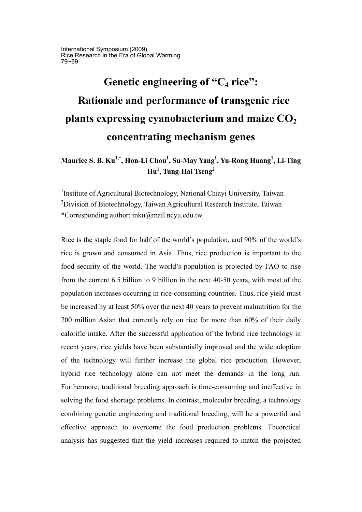International Symposium (2009) Rice Research in the Era of Global Warming 79~89

# Genetic engineering of "C<sub>4</sub> rice":  **Rationale and performance of transgenic rice**  plants expressing cyanobacterium and maize  $CO<sub>2</sub>$ **concentrating mechanism genes**

## **Maurice S. B. Ku1,\*, Hon-Li Chou1 , Su-May Yang<sup>1</sup> , Yu-Rong Huang<sup>1</sup> , Li-Ting Hu1 , Tung-Hai Tseng<sup>2</sup>**

<sup>1</sup>Institute of Agricultural Biotechnology, National Chiayi University, Taiwan  $2$ Division of Biotechnology, Taiwan Agricultural Research Institute, Taiwan \*Corresponding author: mku@mail.ncyu.edu.tw

Rice is the staple food for half of the world's population, and 90% of the world's rice is grown and consumed in Asia. Thus, rice production is important to the food security of the world. The world's population is projected by FAO to rise from the current 6.5 billion to 9 billion in the next 40-50 years, with most of the population increases occurring in rice-consuming countries. Thus, rice yield must be increased by at least 50% over the next 40 years to prevent malnutrition for the 700 million Asian that currently rely on rice for more than 60% of their daily calorific intake. After the successful application of the hybrid rice technology in recent years, rice yields have been substantially improved and the wide adoption of the technology will further increase the global rice production. However, hybrid rice technology alone can not meet the demands in the long run. Furthermore, traditional breeding approach is time-consuming and ineffective in solving the food shortage problems. In contrast, molecular breeding, a technology combining genetic engineering and traditional breeding, will be a powerful and effective approach to overcome the food production problems. Theoretical analysis has suggested that the yield increases required to match the projected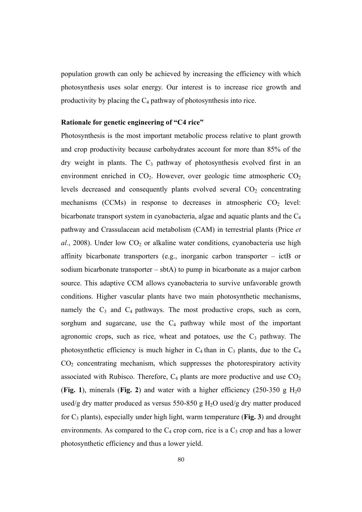population growth can only be achieved by increasing the efficiency with which photosynthesis uses solar energy. Our interest is to increase rice growth and productivity by placing the  $C_4$  pathway of photosynthesis into rice.

#### **Rationale for genetic engineering of "C4 rice"**

Photosynthesis is the most important metabolic process relative to plant growth and crop productivity because carbohydrates account for more than 85% of the dry weight in plants. The  $C_3$  pathway of photosynthesis evolved first in an environment enriched in  $CO<sub>2</sub>$ . However, over geologic time atmospheric  $CO<sub>2</sub>$ levels decreased and consequently plants evolved several  $CO<sub>2</sub>$  concentrating mechanisms (CCMs) in response to decreases in atmospheric  $CO<sub>2</sub>$  level: bicarbonate transport system in cyanobacteria, algae and aquatic plants and the C4 pathway and Crassulacean acid metabolism (CAM) in terrestrial plants (Price *et*   $al.$ , 2008). Under low  $CO<sub>2</sub>$  or alkaline water conditions, cyanobacteria use high affinity bicarbonate transporters (e.g., inorganic carbon transporter – ictB or sodium bicarbonate transporter – sbtA) to pump in bicarbonate as a major carbon source. This adaptive CCM allows cyanobacteria to survive unfavorable growth conditions. Higher vascular plants have two main photosynthetic mechanisms, namely the  $C_3$  and  $C_4$  pathways. The most productive crops, such as corn, sorghum and sugarcane, use the  $C_4$  pathway while most of the important agronomic crops, such as rice, wheat and potatoes, use the  $C_3$  pathway. The photosynthetic efficiency is much higher in  $C_4$  than in  $C_3$  plants, due to the  $C_4$  $CO<sub>2</sub>$  concentrating mechanism, which suppresses the photorespiratory activity associated with Rubisco. Therefore,  $C_4$  plants are more productive and use  $CO_2$ (**Fig. 1**), minerals (**Fig. 2**) and water with a higher efficiency (250-350 g  $H_2$ 0 used/g dry matter produced as versus 550-850 g  $H_2O$  used/g dry matter produced for C3 plants), especially under high light, warm temperature (**Fig. 3**) and drought environments. As compared to the  $C_4$  crop corn, rice is a  $C_3$  crop and has a lower photosynthetic efficiency and thus a lower yield.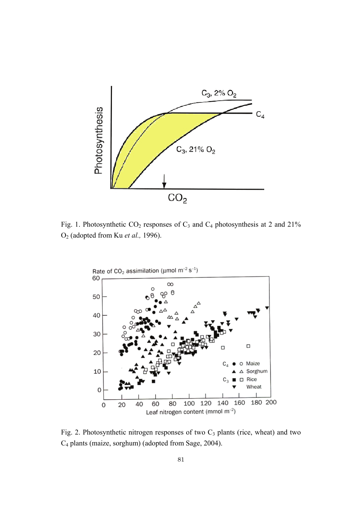

Fig. 1. Photosynthetic  $CO_2$  responses of  $C_3$  and  $C_4$  photosynthesis at 2 and 21% O2 (adopted from Ku *et al.,* 1996).



Fig. 2. Photosynthetic nitrogen responses of two  $C_3$  plants (rice, wheat) and two C4 plants (maize, sorghum) (adopted from Sage, 2004).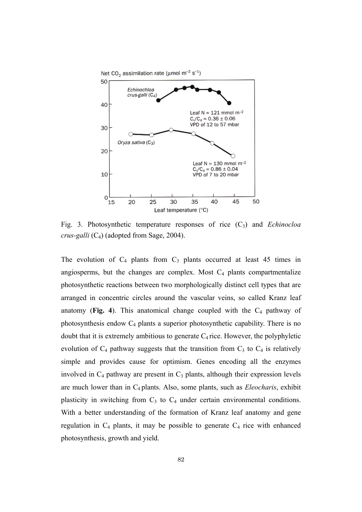

Fig. 3. Photosynthetic temperature responses of rice (C3) and *Echinocloa crus-galli* (C4) (adopted from Sage, 2004).

The evolution of  $C_4$  plants from  $C_3$  plants occurred at least 45 times in angiosperms, but the changes are complex. Most  $C_4$  plants compartmentalize photosynthetic reactions between two morphologically distinct cell types that are arranged in concentric circles around the vascular veins, so called Kranz leaf anatomy (**Fig. 4**). This anatomical change coupled with the  $C_4$  pathway of photosynthesis endow C4 plants a superior photosynthetic capability. There is no doubt that it is extremely ambitious to generate  $C_4$  rice. However, the polyphyletic evolution of  $C_4$  pathway suggests that the transition from  $C_3$  to  $C_4$  is relatively simple and provides cause for optimism. Genes encoding all the enzymes involved in  $C_4$  pathway are present in  $C_3$  plants, although their expression levels are much lower than in C4 plants. Also, some plants, such as *Eleocharis*, exhibit plasticity in switching from  $C_3$  to  $C_4$  under certain environmental conditions. With a better understanding of the formation of Kranz leaf anatomy and gene regulation in  $C_4$  plants, it may be possible to generate  $C_4$  rice with enhanced photosynthesis, growth and yield.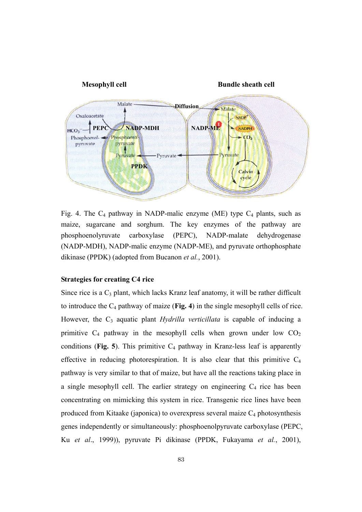

Fig. 4. The  $C_4$  pathway in NADP-malic enzyme (ME) type  $C_4$  plants, such as maize, sugarcane and sorghum. The key enzymes of the pathway are phosphoenolyruvate carboxylase (PEPC), NADP-malate dehydrogenase (NADP-MDH), NADP-malic enzyme (NADP-ME), and pyruvate orthophosphate dikinase (PPDK) (adopted from Bucanon *et al.*, 2001).

#### **Strategies for creating C4 rice**

Since rice is a  $C_3$  plant, which lacks Kranz leaf anatomy, it will be rather difficult to introduce the C4 pathway of maize (**Fig. 4**) in the single mesophyll cells of rice. However, the C<sub>3</sub> aquatic plant *Hydrilla verticillata* is capable of inducing a primitive  $C_4$  pathway in the mesophyll cells when grown under low  $CO_2$ conditions (**Fig. 5**). This primitive  $C_4$  pathway in Kranz-less leaf is apparently effective in reducing photorespiration. It is also clear that this primitive  $C_4$ pathway is very similar to that of maize, but have all the reactions taking place in a single mesophyll cell. The earlier strategy on engineering  $C_4$  rice has been concentrating on mimicking this system in rice. Transgenic rice lines have been produced from Kitaake (japonica) to overexpress several maize  $C_4$  photosynthesis genes independently or simultaneously: phosphoenolpyruvate carboxylase (PEPC, Ku *et al*., 1999)), pyruvate Pi dikinase (PPDK, Fukayama *et al.*, 2001),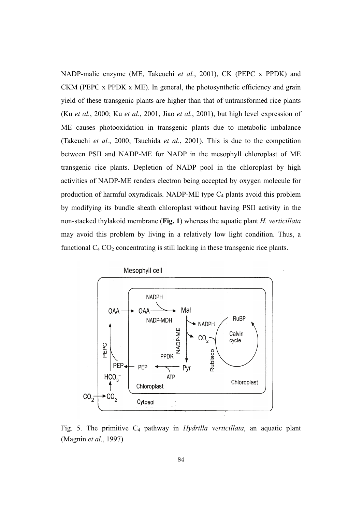NADP-malic enzyme (ME, Takeuchi *et al.*, 2001), CK (PEPC x PPDK) and CKM (PEPC x PPDK x ME). In general, the photosynthetic efficiency and grain yield of these transgenic plants are higher than that of untransformed rice plants (Ku *et al.*, 2000; Ku *et al.*, 2001, Jiao *et al.*, 2001), but high level expression of ME causes photooxidation in transgenic plants due to metabolic imbalance (Takeuchi *et al.*, 2000; Tsuchida *et al*., 2001). This is due to the competition between PSII and NADP-ME for NADP in the mesophyll chloroplast of ME transgenic rice plants. Depletion of NADP pool in the chloroplast by high activities of NADP-ME renders electron being accepted by oxygen molecule for production of harmful oxyradicals. NADP-ME type  $C_4$  plants avoid this problem by modifying its bundle sheath chloroplast without having PSII activity in the non-stacked thylakoid membrane (**Fig. 1**) whereas the aquatic plant *H. verticillata* may avoid this problem by living in a relatively low light condition. Thus, a functional  $C_4$   $CO_2$  concentrating is still lacking in these transgenic rice plants.



Fig. 5. The primitive C4 pathway in *Hydrilla verticillata*, an aquatic plant (Magnin *et al*., 1997)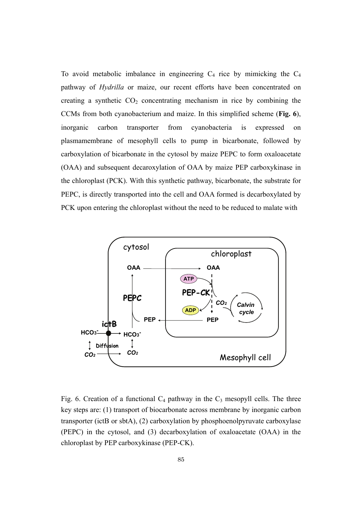To avoid metabolic imbalance in engineering  $C_4$  rice by mimicking the  $C_4$ pathway of *Hydrilla* or maize, our recent efforts have been concentrated on creating a synthetic  $CO<sub>2</sub>$  concentrating mechanism in rice by combining the CCMs from both cyanobacterium and maize. In this simplified scheme (**Fig. 6**), inorganic carbon transporter from cyanobacteria is expressed on plasmamembrane of mesophyll cells to pump in bicarbonate, followed by carboxylation of bicarbonate in the cytosol by maize PEPC to form oxaloacetate (OAA) and subsequent decaroxylation of OAA by maize PEP carboxykinase in the chloroplast (PCK). With this synthetic pathway, bicarbonate, the substrate for PEPC, is directly transported into the cell and OAA formed is decarboxylated by PCK upon entering the chloroplast without the need to be reduced to malate with



Fig. 6. Creation of a functional  $C_4$  pathway in the  $C_3$  mesopyll cells. The three key steps are: (1) transport of biocarbonate across membrane by inorganic carbon transporter (ictB or sbtA), (2) carboxylation by phosphoenolpyruvate carboxylase (PEPC) in the cytosol, and (3) decarboxylation of oxaloacetate (OAA) in the chloroplast by PEP carboxykinase (PEP-CK).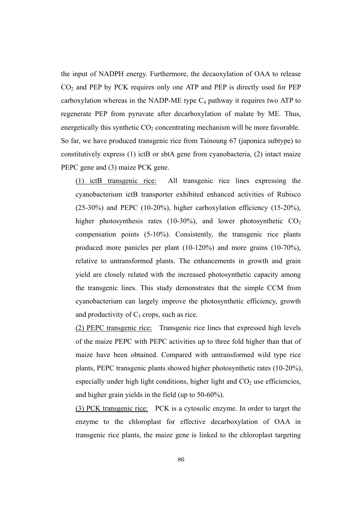the input of NADPH energy. Furthermore, the decaoxylation of OAA to release  $CO<sub>2</sub>$  and PEP by PCK requires only one ATP and PEP is directly used for PEP carboxylation whereas in the NADP-ME type  $C_4$  pathway it requires two ATP to regenerate PEP from pyruvate after decarboxylation of malate by ME. Thus, energetically this synthetic  $CO<sub>2</sub>$  concentrating mechanism will be more favorable. So far, we have produced transgenic rice from Tainoung 67 (japonica subtype) to constitutively express (1) ictB or sbtA gene from cyanobacteria, (2) intact maize PEPC gene and (3) maize PCK gene.

(1) ictB transgenic rice: All transgenic rice lines expressing the cyanobacterium ictB transporter exhibited enhanced activities of Rubisco (25-30%) and PEPC (10-20%), higher carboxylation efficiency (15-20%), higher photosynthesis rates (10-30%), and lower photosynthetic  $CO<sub>2</sub>$ compensation points (5-10%). Consistently, the transgenic rice plants produced more panicles per plant (10-120%) and more grains (10-70%), relative to untransformed plants. The enhancements in growth and grain yield are closely related with the increased photosynthetic capacity among the transgenic lines. This study demonstrates that the simple CCM from cyanobacterium can largely improve the photosynthetic efficiency, growth and productivity of  $C_3$  crops, such as rice.

(2) PEPC transgenic rice: Transgenic rice lines that expressed high levels of the maize PEPC with PEPC activities up to three fold higher than that of maize have been obtained. Compared with untransformed wild type rice plants, PEPC transgenic plants showed higher photosynthetic rates (10-20%), especially under high light conditions, higher light and  $CO<sub>2</sub>$  use efficiencies, and higher grain yields in the field (up to 50-60%).

(3) PCK transgenic rice: PCK is a cytosolic enzyme. In order to target the enzyme to the chloroplast for effective decarboxylation of OAA in transgenic rice plants, the maize gene is linked to the chloroplast targeting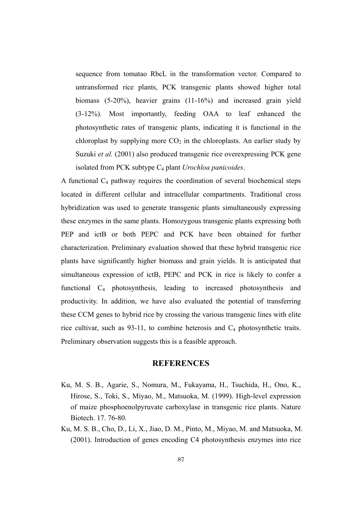sequence from tomatao RbcL in the transformation vector. Compared to untransformed rice plants, PCK transgenic plants showed higher total biomass (5-20%), heavier grains (11-16%) and increased grain yield (3-12%). Most importantly, feeding OAA to leaf enhanced the photosynthetic rates of transgenic plants, indicating it is functional in the chloroplast by supplying more  $CO<sub>2</sub>$  in the chloroplasts. An earlier study by Suzuki *et al.* (2001) also produced transgenic rice overexpressing PCK gene isolated from PCK subtype C4 plant *Urochloa panicoides*.

A functional  $C_4$  pathway requires the coordination of several biochemical steps located in different cellular and intracellular compartments. Traditional cross hybridization was used to generate transgenic plants simultaneously expressing these enzymes in the same plants. Homozygous transgenic plants expressing both PEP and ictB or both PEPC and PCK have been obtained for further characterization. Preliminary evaluation showed that these hybrid transgenic rice plants have significantly higher biomass and grain yields. It is anticipated that simultaneous expression of ictB, PEPC and PCK in rice is likely to confer a functional C4 photosynthesis, leading to increased photosynthesis and productivity. In addition, we have also evaluated the potential of transferring these CCM genes to hybrid rice by crossing the various transgenic lines with elite rice cultivar, such as  $93-11$ , to combine heterosis and  $C_4$  photosynthetic traits. Preliminary observation suggests this is a feasible approach.

### **REFERENCES**

- Ku, M. S. B., Agarie, S., Nomura, M., Fukayama, H., Tsuchida, H., Ono, K., Hirose, S., Toki, S., Miyao, M., Matsuoka, M. (1999). High-level expression of maize phosphoenolpyruvate carboxylase in transgenic rice plants. Nature Biotech. 17. 76-80.
- Ku, M. S. B., Cho, D., Li, X., Jiao, D. M., Pinto, M., Miyao, M. and Matsuoka, M. (2001). Introduction of genes encoding C4 photosynthesis enzymes into rice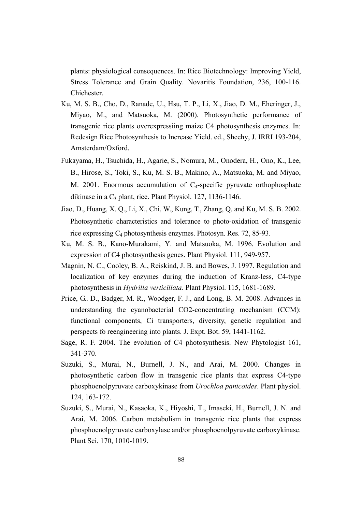plants: physiological consequences. In: Rice Biotechnology: Improving Yield, Stress Tolerance and Grain Quality. Novaritis Foundation, 236, 100-116. Chichester.

- Ku, M. S. B., Cho, D., Ranade, U., Hsu, T. P., Li, X., Jiao, D. M., Eheringer, J., Miyao, M., and Matsuoka, M. (2000). Photosynthetic performance of transgenic rice plants overexpressiing maize C4 photosynthesis enzymes. In: Redesign Rice Photosynthesis to Increase Yield. ed., Sheehy, J. IRRI 193-204, Amsterdam/Oxford.
- Fukayama, H., Tsuchida, H., Agarie, S., Nomura, M., Onodera, H., Ono, K., Lee, B., Hirose, S., Toki, S., Ku, M. S. B., Makino, A., Matsuoka, M. and Miyao, M. 2001. Enormous accumulation of  $C_4$ -specific pyruvate orthophosphate dikinase in a  $C_3$  plant, rice. Plant Physiol. 127, 1136-1146.
- Jiao, D., Huang, X. Q., Li, X., Chi, W., Kung, T., Zhang, Q. and Ku, M. S. B. 2002. Photosynthetic characteristics and tolerance to photo-oxidation of transgenic rice expressing C4 photosynthesis enzymes. Photosyn. Res. 72, 85-93.
- Ku, M. S. B., Kano-Murakami, Y. and Matsuoka, M. 1996. Evolution and expression of C4 photosynthesis genes. Plant Physiol. 111, 949-957.
- Magnin, N. C., Cooley, B. A., Reiskind, J. B. and Bowes, J. 1997. Regulation and localization of key enzymes during the induction of Kranz-less, C4-type photosynthesis in *Hydrilla verticillata*. Plant Physiol. 115, 1681-1689.
- Price, G.. D., Badger, M. R., Woodger, F. J., and Long, B. M. 2008. Advances in understanding the cyanobacterial CO2-concentrating mechanism (CCM): functional components, Ci transporters, diversity, genetic regulation and perspects fo reengineering into plants. J. Expt. Bot. 59, 1441-1162.
- Sage, R. F. 2004. The evolution of C4 photosynthesis. New Phytologist 161, 341-370.
- Suzuki, S., Murai, N., Burnell, J. N., and Arai, M. 2000. Changes in photosynthetic carbon flow in transgenic rice plants that express C4-type phosphoenolpyruvate carboxykinase from *Urochloa panicoides*. Plant physiol. 124, 163-172.
- Suzuki, S., Murai, N., Kasaoka, K., Hiyoshi, T., Imaseki, H., Burnell, J. N. and Arai, M. 2006. Carbon metabolism in transgenic rice plants that express phosphoenolpyruvate carboxylase and/or phosphoenolpyruvate carboxykinase. Plant Sci. 170, 1010-1019.